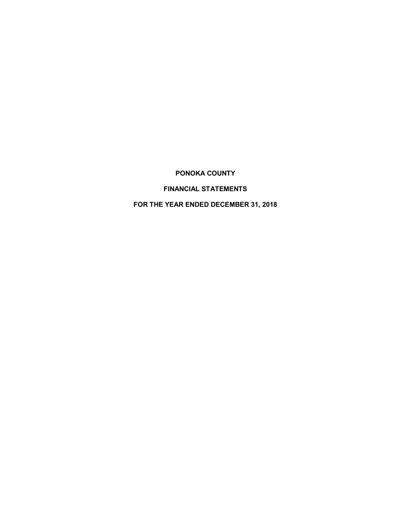# **PONOKA COUNTY**

# **FINANCIAL STATEMENTS**

# **FOR THE YEAR ENDED DECEMBER 31, 2018**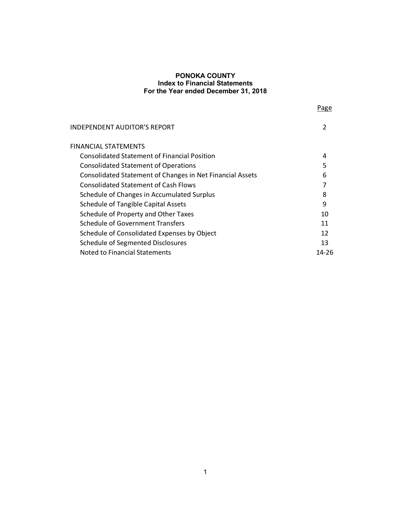| × |  |  |
|---|--|--|
|   |  |  |

| <b>INDEPENDENT AUDITOR'S REPORT</b>                       |       |
|-----------------------------------------------------------|-------|
| FINANCIAL STATEMENTS                                      |       |
| <b>Consolidated Statement of Financial Position</b>       | 4     |
| <b>Consolidated Statement of Operations</b>               | 5     |
| Consolidated Statement of Changes in Net Financial Assets | 6     |
| <b>Consolidated Statement of Cash Flows</b>               |       |
| Schedule of Changes in Accumulated Surplus                | 8     |
| <b>Schedule of Tangible Capital Assets</b>                | 9     |
| Schedule of Property and Other Taxes                      | 10    |
| <b>Schedule of Government Transfers</b>                   | 11    |
| Schedule of Consolidated Expenses by Object               | 12    |
| Schedule of Segmented Disclosures                         | 13    |
| Noted to Financial Statements                             | 14-26 |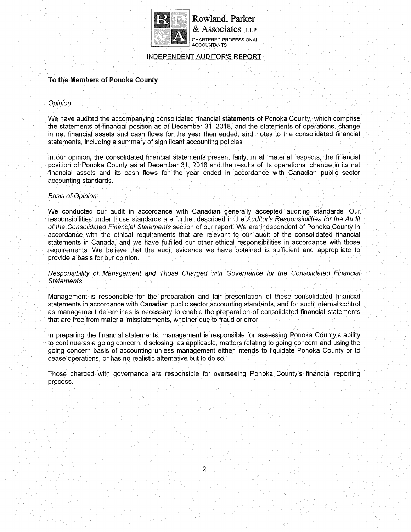

**Rowland, Parker & Associates LLP** CHARTERED PROFESSIONAL ACCOUNTANTS

INDEPENDENT AUDITOR'S REPORT

# **To the Members of Ponoka County**

# **Opinion**

We have audited the accompanying consolidated financial statements of Ponoka County, which comprise the statements of financial position as at December 31,2018, and the statements of operations, change in net financial assets and cash flows for the year then ended, and notes to the consolidated financial statements, including a summary of significant accounting policies,

In our opinion, the consolidated financial statements present fairly, in all material respects, the financial position of Ponoka County as at December 31, 2018 and the results of its operations, change in its net financial assets and its cash flows for the year ended in accordance with Canadian public sector accounting standards.

### Basis of Opinion

We conducted our audit in accordance with Canadian generally accepted auditing standards. Our. responsibilities under those standards are further described in the Auditor's Responsibilities for the Audit of the Consolidated Financial Statements section of our report. We are independent of Ponoka County in accordance with the ethical requirements that are relevant to our audit of the consolidated financial statements in Canada, and we have fulfilled our other ethical responsibilities in accordance with those requirements. We believe that the audit evidence we have obtained is sufficient and appropriate to provide a basis for our opinion.

Responsibility of Management and Those Charged with Governance for the Consolidated Financial **Statements** 

Management is responsible for the preparation and fair presentation of these consolidated financial statements in accordance with Canadian public sector accounting standards, and for such internal control as management determines is necessary to enable the preparation of consolidated financial statements that are free from material misstatements, whether due to fraud or error.

In prepanng the financial statements, management is responsible for assessing Ponoka County's ability to continue as a going concern, disclosing, as applicable, matters relating to going concern and using the going concern basis of accounting unless management either intends to liquidate Ponoka County or to cease operations, or has no realistic alternative but to do so.

Those charged with governance are responsible for overseeing Ponoka County's financial reporting process.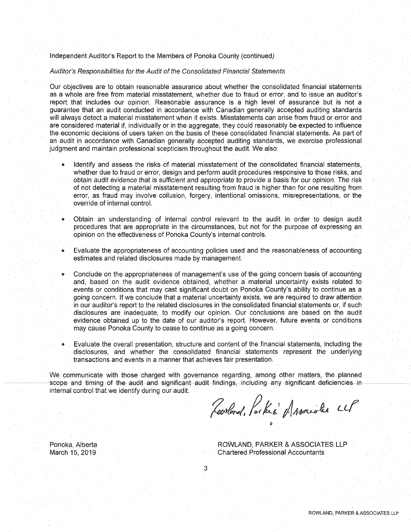Independent Auditor's Report to the Members of Ponoka County (continued)

Auditor's Responsibilities for the Audit of the Consolidated Financial Statements

Our objectives are to obtain reasonable assurance about Whether the consolidated financial statements as a whole are free from material misstatement, whether due to fraud or error, and to issue an auditor's report that includes our opinion. Reasonable assurance is a high level of assurance but is not a guarantee that an audit conducted in accordance with Canadian generally accepted auditing standards will always detect a material misstatement when it exists. Misstatements can arise from fraud or error and are considered material if, individually or in the aggregate, they could reasonably be expected to influence the economic decisions of users taken on the basis of these consolidated financial statements. As part of an audit in accordance with Canadian generally accepted auditing standards, we exercise professional judgment and maintain professional scepticism throughout the audit. We also:

- Identify and assess the risks of material misstatement of the consolidated financial statements, whether due to fraud or error, design and perform audit procedures responsive to those risks, and obtain audit evidence that is sufficient and appropriate to provide a basis for our opinion. The risk of not detecting a material misstatement resulting from fraud is higher than for one resulting from error, as fraud may involve collusion forgery, intentional omissions, misrepresentations, or the override of internal control.
- Obtain an understanding of internal control relevant to the audit- in order to design audit procedures that are appropriate in the circumstances, but not for the purpose of expressing an opinion on the effectiveness of Ponoka County's internal controls.
- Evaluate the appropriateness of accounting policies used and the reasonableness of accounting estimates and related disclosures made by management.
- Conclude on the appropriateness of management's use of the going concern basis of accounting and, based on the audit evidence obtained, whether a material uncertainty exists related to events or conditions that may cast significant doubt on Ponoka County's ability to continue as a going concern. If we conclude that a material uncertainty exists, we are required to draw attention in our auditor's report to the related disclosures in the consolidated financial statements or, if such disclosures are inadequate, to modify our opinion. Our conclusions are based on the audit evidence obtained up to the date of our auditor's report. However, future events or conditions may cause Ponoka County to cease to continue as a going concern.
- Evaluate the overall presentation, structure and content of the financial statements, including the disclosures, and whether the consolidated financial statements represent the underlying transactions and events in a manner that achieves fair presentation.

We communicate with those charged with governance regarding, among other matters, the planned scope and timing of the audit and significant audit findings, including any significant deficiencies in internal control that we identify during our audit.

Rowland, Parke Hassaides CCP

Ponoka, Alberta March 15, 2019

ROWLAND, PARKER & ASSOCIATES LLP Chartered Professional Accountants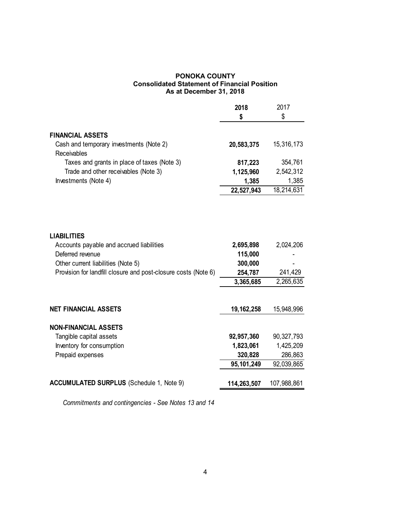# **PONOKA COUNTY Consolidated Statement of Financial Position As at December 31, 2018**

|                                                                                                                                                                                            | 2018<br>\$                                 | 2017<br>\$           |
|--------------------------------------------------------------------------------------------------------------------------------------------------------------------------------------------|--------------------------------------------|----------------------|
| <b>FINANCIAL ASSETS</b>                                                                                                                                                                    |                                            |                      |
| Cash and temporary investments (Note 2)<br>Receivables                                                                                                                                     | 20,583,375                                 | 15,316,173           |
| Taxes and grants in place of taxes (Note 3)                                                                                                                                                | 817,223                                    | 354,761              |
| Trade and other receivables (Note 3)                                                                                                                                                       | 1,125,960                                  | 2,542,312            |
| Investments (Note 4)                                                                                                                                                                       | 1,385                                      | 1,385                |
|                                                                                                                                                                                            | 22,527,943                                 | 18,214,631           |
| <b>LIABILITIES</b><br>Accounts payable and accrued liabilities<br>Deferred revenue<br>Other current liabilities (Note 5)<br>Provision for landfill closure and post-closure costs (Note 6) | 2,695,898<br>115,000<br>300,000<br>254,787 | 2,024,206<br>241,429 |
|                                                                                                                                                                                            | 3,365,685                                  | 2,265,635            |
| <b>NET FINANCIAL ASSETS</b>                                                                                                                                                                | 19, 162, 258                               | 15,948,996           |
| <b>NON-FINANCIAL ASSETS</b>                                                                                                                                                                |                                            |                      |
| Tangible capital assets                                                                                                                                                                    | 92,957,360                                 | 90, 327, 793         |
| Inventory for consumption                                                                                                                                                                  | 1,823,061                                  | 1,425,209            |
| Prepaid expenses                                                                                                                                                                           | 320,828                                    | 286,863              |
|                                                                                                                                                                                            | 95,101,249                                 | 92,039,865           |
| <b>ACCUMULATED SURPLUS</b> (Schedule 1, Note 9)                                                                                                                                            | 114,263,507                                | 107,988,861          |

 *Commitments and contingencies - See Notes 13 and 14*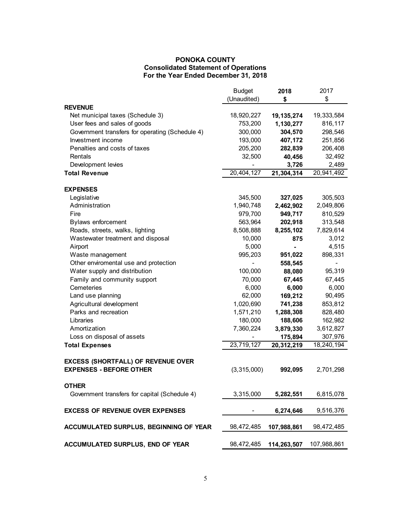# **PONOKA COUNTY Consolidated Statement of Operations For the Year Ended December 31, 2018**

|                                                               | <b>Budget</b> | 2018           | 2017        |
|---------------------------------------------------------------|---------------|----------------|-------------|
|                                                               | (Unaudited)   | \$             | \$          |
| <b>REVENUE</b>                                                |               |                |             |
| Net municipal taxes (Schedule 3)                              | 18,920,227    | 19, 135, 274   | 19,333,584  |
| User fees and sales of goods                                  | 753,200       | 1,130,277      | 816,117     |
| Government transfers for operating (Schedule 4)               | 300,000       | 304,570        | 298,546     |
| Investment income                                             | 193,000       | 407,172        | 251,856     |
| Penalties and costs of taxes                                  | 205,200       | 282,839        | 206,408     |
| Rentals                                                       | 32,500        | 40,456         | 32,492      |
| Development levies                                            |               | 3,726          | 2,489       |
| <b>Total Revenue</b>                                          | 20,404,127    | 21,304,314     | 20,941,492  |
| <b>EXPENSES</b>                                               |               |                |             |
| Legislative                                                   | 345,500       | 327,025        | 305,503     |
| Administration                                                | 1,940,748     | 2,462,902      | 2,049,806   |
| Fire                                                          | 979,700       | 949,717        | 810,529     |
| <b>Bylaws enforcement</b>                                     | 563,964       | 202,918        | 313,548     |
| Roads, streets, walks, lighting                               | 8,508,888     | 8,255,102      | 7,829,614   |
| Wastewater treatment and disposal                             | 10,000        | 875            | 3,012       |
| Airport                                                       | 5,000         | $\blacksquare$ | 4,515       |
| Waste management                                              | 995,203       | 951,022        | 898,331     |
| Other enviromental use and protection                         |               | 558,545        |             |
| Water supply and distribution                                 | 100,000       | 88,080         | 95,319      |
| Family and community support                                  | 70,000        | 67,445         | 67,445      |
| Cemeteries                                                    | 6,000         | 6,000          | 6,000       |
| Land use planning                                             | 62,000        | 169,212        | 90,495      |
| Agricultural development                                      | 1,020,690     | 741,238        | 853,812     |
| Parks and recreation                                          | 1,571,210     | 1,288,308      | 828,480     |
| Libraries                                                     | 180,000       | 188,606        | 162,982     |
| Amortization                                                  | 7,360,224     | 3,879,330      | 3,612,827   |
| Loss on disposal of assets                                    |               | 175,894        | 307,976     |
| <b>Total Expenses</b>                                         | 23,719,127    | 20,312,219     | 18,240,194  |
| <b>EXCESS (SHORTFALL) OF REVENUE OVER</b>                     |               |                |             |
| <b>EXPENSES - BEFORE OTHER</b>                                | (3,315,000)   | 992,095        | 2,701,298   |
|                                                               |               |                |             |
| <b>OTHER</b><br>Government transfers for capital (Schedule 4) | 3,315,000     | 5,282,551      | 6,815,078   |
|                                                               |               |                |             |
| <b>EXCESS OF REVENUE OVER EXPENSES</b>                        |               | 6,274,646      | 9,516,376   |
| ACCUMULATED SURPLUS, BEGINNING OF YEAR                        | 98,472,485    | 107,988,861    | 98,472,485  |
|                                                               |               |                |             |
| ACCUMULATED SURPLUS, END OF YEAR                              | 98,472,485    | 114,263,507    | 107,988,861 |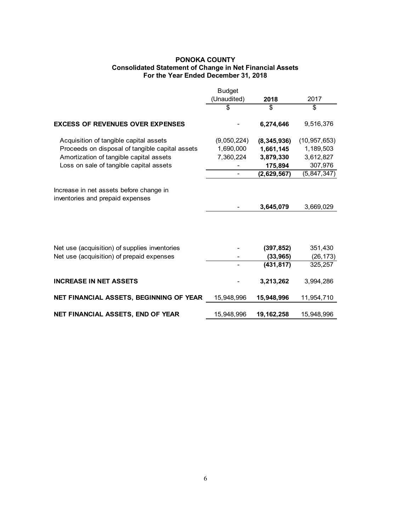# **PONOKA COUNTY Consolidated Statement of Change in Net Financial Assets For the Year Ended December 31, 2018**

|                                                                                            | <b>Budget</b> |                         |                      |
|--------------------------------------------------------------------------------------------|---------------|-------------------------|----------------------|
|                                                                                            | (Unaudited)   | 2018                    | 2017                 |
|                                                                                            | \$            | \$                      | \$                   |
| <b>EXCESS OF REVENUES OVER EXPENSES</b>                                                    |               | 6,274,646               | 9,516,376            |
| Acquisition of tangible capital assets                                                     | (9,050,224)   | (8, 345, 936)           | (10, 957, 653)       |
| Proceeds on disposal of tangible capital assets                                            | 1,690,000     | 1,661,145               | 1,189,503            |
| Amortization of tangible capital assets                                                    | 7,360,224     | 3,879,330               | 3,612,827            |
| Loss on sale of tangible capital assets                                                    |               | 175,894                 | 307,976              |
|                                                                                            |               | (2,629,567)             | (5,847,347)          |
| Increase in net assets before change in<br>inventories and prepaid expenses                |               | 3,645,079               | 3,669,029            |
| Net use (acquisition) of supplies inventories<br>Net use (acquisition) of prepaid expenses |               | (397, 852)<br>(33, 965) | 351,430<br>(26, 173) |
|                                                                                            |               | (431, 817)              | 325,257              |
| <b>INCREASE IN NET ASSETS</b>                                                              |               | 3,213,262               | 3,994,286            |
| NET FINANCIAL ASSETS, BEGINNING OF YEAR                                                    | 15,948,996    | 15,948,996              | 11,954,710           |
| <b>NET FINANCIAL ASSETS, END OF YEAR</b>                                                   | 15,948,996    | 19, 162, 258            | 15,948,996           |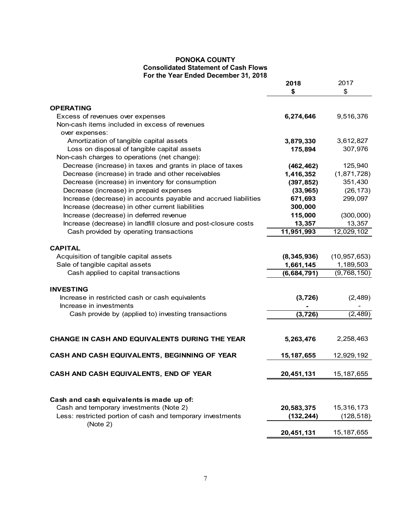# **PONOKA COUNTY Consolidated Statement of Cash Flows For the Year Ended December 31, 2018**

|                                                                                   | 2018                    | 2017           |
|-----------------------------------------------------------------------------------|-------------------------|----------------|
|                                                                                   | \$                      | \$             |
|                                                                                   |                         |                |
| <b>OPERATING</b>                                                                  |                         |                |
| Excess of revenues over expenses<br>Non-cash items included in excess of revenues | 6,274,646               | 9,516,376      |
|                                                                                   |                         |                |
| over expenses:                                                                    |                         |                |
| Amortization of tangible capital assets                                           | 3,879,330               | 3,612,827      |
| Loss on disposal of tangible capital assets                                       | 175,894                 | 307,976        |
| Non-cash charges to operations (net change):                                      |                         |                |
| Decrease (increase) in taxes and grants in place of taxes                         | (462, 462)              | 125,940        |
| Decrease (increase) in trade and other receivables                                | 1,416,352               | (1,871,728)    |
| Decrease (increase) in inventory for consumption                                  | (397, 852)              | 351,430        |
| Decrease (increase) in prepaid expenses                                           | (33, 965)               | (26, 173)      |
| Increase (decrease) in accounts payable and accrued liabilities                   | 671,693                 | 299,097        |
| Increase (decrease) in other current liabilities                                  | 300,000                 |                |
| Increase (decrease) in deferred revenue                                           | 115,000                 | (300,000)      |
| Increase (decrease) in landfill closure and post-closure costs                    | 13,357                  | 13,357         |
| Cash provided by operating transactions                                           | $\overline{11,}951,993$ | 12,029,102     |
| <b>CAPITAL</b>                                                                    |                         |                |
| Acquisition of tangible capital assets                                            | (8, 345, 936)           | (10, 957, 653) |
| Sale of tangible capital assets                                                   | 1,661,145               | 1,189,503      |
| Cash applied to capital transactions                                              | (6,684,791)             | (9,768,150)    |
|                                                                                   |                         |                |
| <b>INVESTING</b>                                                                  |                         |                |
| Increase in restricted cash or cash equivalents                                   | (3, 726)                | (2, 489)       |
| Increase in investments                                                           |                         |                |
| Cash provide by (applied to) investing transactions                               | (3, 726)                | (2, 489)       |
|                                                                                   |                         |                |
| CHANGE IN CASH AND EQUIVALENTS DURING THE YEAR                                    | 5,263,476               | 2,258,463      |
| CASH AND CASH EQUIVALENTS, BEGINNING OF YEAR                                      | 15, 187, 655            | 12,929,192     |
| CASH AND CASH EQUIVALENTS, END OF YEAR                                            | 20,451,131              | 15, 187, 655   |
|                                                                                   |                         |                |
| Cash and cash equivalents is made up of:                                          |                         |                |
| Cash and temporary investments (Note 2)                                           | 20,583,375              | 15,316,173     |
| Less: restricted portion of cash and temporary investments                        | (132, 244)              | (128, 518)     |
| (Note 2)                                                                          | 20,451,131              | 15, 187, 655   |
|                                                                                   |                         |                |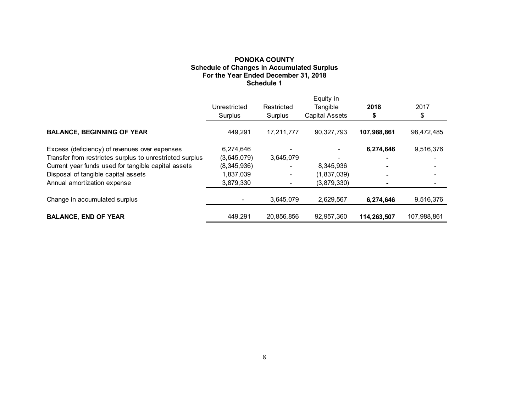# **PONOKA COUNTY Schedule of Changes in Accumulated Surplus For the Year Ended December 31, 2018 Schedule 1**

|                                                          |              |            | Equity in             |             |             |
|----------------------------------------------------------|--------------|------------|-----------------------|-------------|-------------|
|                                                          | Unrestricted | Restricted | Tangible              | 2018        | 2017        |
|                                                          | Surplus      | Surplus    | <b>Capital Assets</b> |             | \$          |
| <b>BALANCE, BEGINNING OF YEAR</b>                        | 449.291      | 17,211,777 | 90,327,793            | 107,988,861 | 98,472,485  |
| Excess (deficiency) of revenues over expenses            | 6,274,646    |            |                       | 6,274,646   | 9,516,376   |
| Transfer from restrictes surplus to unrestricted surplus | (3,645,079)  | 3,645,079  |                       |             |             |
| Current year funds used for tangible capital assets      | (8,345,936)  |            | 8,345,936             |             |             |
| Disposal of tangible capital assets                      | 1,837,039    |            | (1,837,039)           |             |             |
| Annual amortization expense                              | 3,879,330    |            | (3,879,330)           |             |             |
| Change in accumulated surplus                            |              | 3,645,079  | 2,629,567             | 6,274,646   | 9,516,376   |
| <b>BALANCE, END OF YEAR</b>                              | 449.291      | 20.856.856 | 92.957.360            | 114.263.507 | 107.988.861 |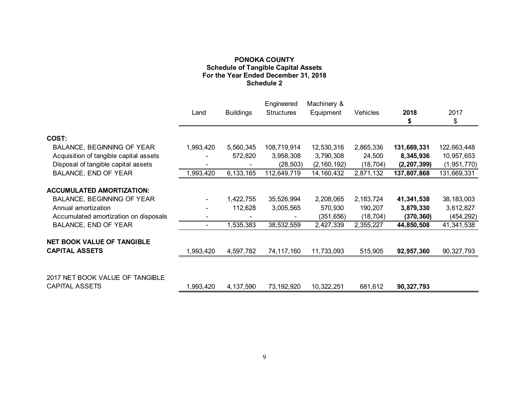# **PONOKA COUNTY Schedule of Tangible Capital Assets For the Year Ended December 31, 2018 Schedule 2**

| 2018<br>2017<br><b>Buildings</b><br>Vehicles<br><b>Structures</b><br>Equipment<br>Land<br>\$<br>S<br>COST:<br>1,993,420<br><b>BALANCE, BEGINNING OF YEAR</b><br>5,560,345<br>108,719,914<br>12,530,316<br>2,865,336<br>131,669,331<br>122,663,448<br>Acquisition of tangible capital assets<br>8,345,936<br>10,957,653<br>572,820<br>3,958,308<br>3,790,308<br>24,500<br>Disposal of tangible capital assets<br>(2, 160, 192)<br>(1, 951, 770)<br>(28, 503)<br>(18, 704)<br>(2, 207, 399)<br>112,649,719<br><b>BALANCE, END OF YEAR</b><br>1,993,420<br>6,133,165<br>14, 160, 432<br>2,871,132<br>137,807,868<br>131,669,331<br><b>ACCUMULATED AMORTIZATION:</b><br><b>BALANCE, BEGINNING OF YEAR</b><br>35,526,994<br>2,208,065<br>1,422,755<br>2,183,724<br>41,341,538<br>38, 183, 003<br>Annual amortization<br>112,628<br>3,005,565<br>570,930<br>190,207<br>3,879,330<br>3,612,827<br>Accumulated amortization on disposals<br>(18, 704)<br>(454, 292)<br>(351, 656)<br>(370, 360)<br><b>BALANCE, END OF YEAR</b><br>1,535,383<br>38,532,559<br>2,427,339<br>2,355,227<br>41,341,538<br>44,850,508<br>۰.<br><b>NET BOOK VALUE OF TANGIBLE</b><br><b>CAPITAL ASSETS</b><br>1,993,420<br>4,597,782<br>74,117,160<br>11,733,093<br>515,905<br>90, 327, 793<br>92,957,360<br>2017 NET BOOK VALUE OF TANGIBLE<br><b>CAPITAL ASSETS</b><br>1,993,420<br>4,137,590<br>73,192,920<br>10,322,251<br>681,612<br>90,327,793 |  | Engineered | Machinery & |  |  |
|-----------------------------------------------------------------------------------------------------------------------------------------------------------------------------------------------------------------------------------------------------------------------------------------------------------------------------------------------------------------------------------------------------------------------------------------------------------------------------------------------------------------------------------------------------------------------------------------------------------------------------------------------------------------------------------------------------------------------------------------------------------------------------------------------------------------------------------------------------------------------------------------------------------------------------------------------------------------------------------------------------------------------------------------------------------------------------------------------------------------------------------------------------------------------------------------------------------------------------------------------------------------------------------------------------------------------------------------------------------------------------------------------------------------------|--|------------|-------------|--|--|
|                                                                                                                                                                                                                                                                                                                                                                                                                                                                                                                                                                                                                                                                                                                                                                                                                                                                                                                                                                                                                                                                                                                                                                                                                                                                                                                                                                                                                       |  |            |             |  |  |
|                                                                                                                                                                                                                                                                                                                                                                                                                                                                                                                                                                                                                                                                                                                                                                                                                                                                                                                                                                                                                                                                                                                                                                                                                                                                                                                                                                                                                       |  |            |             |  |  |
|                                                                                                                                                                                                                                                                                                                                                                                                                                                                                                                                                                                                                                                                                                                                                                                                                                                                                                                                                                                                                                                                                                                                                                                                                                                                                                                                                                                                                       |  |            |             |  |  |
|                                                                                                                                                                                                                                                                                                                                                                                                                                                                                                                                                                                                                                                                                                                                                                                                                                                                                                                                                                                                                                                                                                                                                                                                                                                                                                                                                                                                                       |  |            |             |  |  |
|                                                                                                                                                                                                                                                                                                                                                                                                                                                                                                                                                                                                                                                                                                                                                                                                                                                                                                                                                                                                                                                                                                                                                                                                                                                                                                                                                                                                                       |  |            |             |  |  |
|                                                                                                                                                                                                                                                                                                                                                                                                                                                                                                                                                                                                                                                                                                                                                                                                                                                                                                                                                                                                                                                                                                                                                                                                                                                                                                                                                                                                                       |  |            |             |  |  |
|                                                                                                                                                                                                                                                                                                                                                                                                                                                                                                                                                                                                                                                                                                                                                                                                                                                                                                                                                                                                                                                                                                                                                                                                                                                                                                                                                                                                                       |  |            |             |  |  |
|                                                                                                                                                                                                                                                                                                                                                                                                                                                                                                                                                                                                                                                                                                                                                                                                                                                                                                                                                                                                                                                                                                                                                                                                                                                                                                                                                                                                                       |  |            |             |  |  |
|                                                                                                                                                                                                                                                                                                                                                                                                                                                                                                                                                                                                                                                                                                                                                                                                                                                                                                                                                                                                                                                                                                                                                                                                                                                                                                                                                                                                                       |  |            |             |  |  |
|                                                                                                                                                                                                                                                                                                                                                                                                                                                                                                                                                                                                                                                                                                                                                                                                                                                                                                                                                                                                                                                                                                                                                                                                                                                                                                                                                                                                                       |  |            |             |  |  |
|                                                                                                                                                                                                                                                                                                                                                                                                                                                                                                                                                                                                                                                                                                                                                                                                                                                                                                                                                                                                                                                                                                                                                                                                                                                                                                                                                                                                                       |  |            |             |  |  |
|                                                                                                                                                                                                                                                                                                                                                                                                                                                                                                                                                                                                                                                                                                                                                                                                                                                                                                                                                                                                                                                                                                                                                                                                                                                                                                                                                                                                                       |  |            |             |  |  |
|                                                                                                                                                                                                                                                                                                                                                                                                                                                                                                                                                                                                                                                                                                                                                                                                                                                                                                                                                                                                                                                                                                                                                                                                                                                                                                                                                                                                                       |  |            |             |  |  |
|                                                                                                                                                                                                                                                                                                                                                                                                                                                                                                                                                                                                                                                                                                                                                                                                                                                                                                                                                                                                                                                                                                                                                                                                                                                                                                                                                                                                                       |  |            |             |  |  |
|                                                                                                                                                                                                                                                                                                                                                                                                                                                                                                                                                                                                                                                                                                                                                                                                                                                                                                                                                                                                                                                                                                                                                                                                                                                                                                                                                                                                                       |  |            |             |  |  |
|                                                                                                                                                                                                                                                                                                                                                                                                                                                                                                                                                                                                                                                                                                                                                                                                                                                                                                                                                                                                                                                                                                                                                                                                                                                                                                                                                                                                                       |  |            |             |  |  |
|                                                                                                                                                                                                                                                                                                                                                                                                                                                                                                                                                                                                                                                                                                                                                                                                                                                                                                                                                                                                                                                                                                                                                                                                                                                                                                                                                                                                                       |  |            |             |  |  |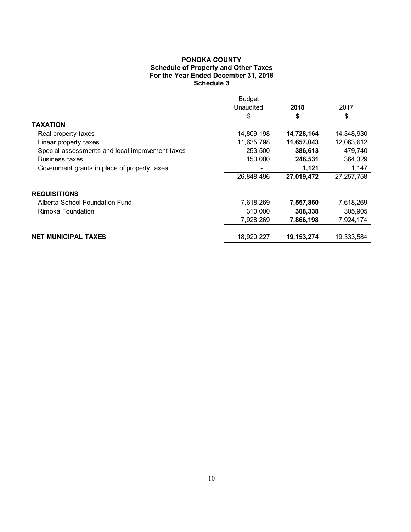# **PONOKA COUNTY Schedule of Property and Other Taxes For the Year Ended December 31, 2018 Schedule 3**

|                                                 | <b>Budget</b> |              |              |
|-------------------------------------------------|---------------|--------------|--------------|
|                                                 | Unaudited     | 2018         | 2017         |
|                                                 | \$            | \$           | \$           |
| TAXATION                                        |               |              |              |
| Real property taxes                             | 14,809,198    | 14,728,164   | 14,348,930   |
| Linear property taxes                           | 11,635,798    | 11,657,043   | 12,063,612   |
| Special assessments and local improvement taxes | 253,500       | 386,613      | 479,740      |
| <b>Business taxes</b>                           | 150,000       | 246,531      | 364,329      |
| Government grants in place of property taxes    |               | 1,121        | 1,147        |
|                                                 | 26,848,496    | 27,019,472   | 27, 257, 758 |
| <b>REQUISITIONS</b>                             |               |              |              |
| Alberta School Foundation Fund                  | 7,618,269     | 7,557,860    | 7,618,269    |
| Rimoka Foundation                               | 310,000       | 308,338      | 305,905      |
|                                                 | 7,928,269     | 7,866,198    | 7,924,174    |
| <b>NET MUNICIPAL TAXES</b>                      | 18,920,227    | 19, 153, 274 | 19,333,584   |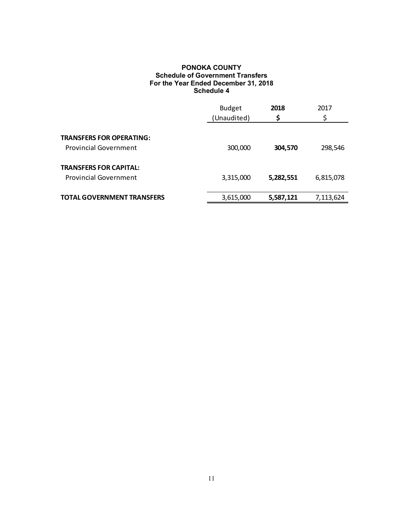# **PONOKA COUNTY Schedule of Government Transfers For the Year Ended December 31, 2018 Schedule 4**

|                                   | <b>Budget</b><br>(Unaudited) | 2018<br>\$ | 2017<br>\$ |
|-----------------------------------|------------------------------|------------|------------|
|                                   |                              |            |            |
| <b>TRANSFERS FOR OPERATING:</b>   |                              |            |            |
| <b>Provincial Government</b>      | 300,000                      | 304,570    | 298,546    |
| <b>TRANSFERS FOR CAPITAL:</b>     |                              |            |            |
| <b>Provincial Government</b>      | 3,315,000                    | 5,282,551  | 6,815,078  |
|                                   |                              |            |            |
| <b>TOTAL GOVERNMENT TRANSFERS</b> | 3,615,000                    | 5,587,121  | 7,113,624  |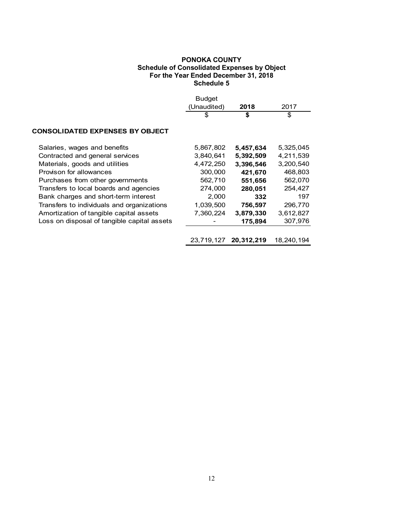# **PONOKA COUNTY Schedule of Consolidated Expenses by Object For the Year Ended December 31, 2018 Schedule 5**

|                                             | <b>Budget</b><br>(Unaudited)<br>\$ | 2018<br>\$ | 2017<br>\$ |
|---------------------------------------------|------------------------------------|------------|------------|
| <b>CONSOLIDATED EXPENSES BY OBJECT</b>      |                                    |            |            |
| Salaries, wages and benefits                | 5,867,802                          | 5,457,634  | 5,325,045  |
| Contracted and general services             | 3,840,641                          | 5,392,509  | 4,211,539  |
| Materials, goods and utilities              | 4,472,250                          | 3,396,546  | 3,200,540  |
| Provison for allowances                     | 300,000                            | 421,670    | 468,803    |
| Purchases from other governments            | 562,710                            | 551,656    | 562,070    |
| Transfers to local boards and agencies      | 274,000                            | 280,051    | 254,427    |
| Bank charges and short-term interest        | 2,000                              | 332        | 197        |
| Transfers to individuals and organizations  | 1,039,500                          | 756,597    | 296,770    |
| Amortization of tangible capital assets     | 7,360,224                          | 3,879,330  | 3,612,827  |
| Loss on disposal of tangible capital assets |                                    | 175,894    | 307,976    |
|                                             |                                    |            |            |
|                                             | 23,719,127                         | 20,312,219 | 18.240.194 |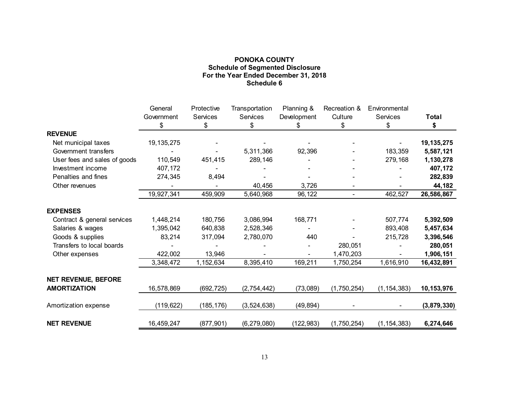# **PONOKA COUNTY Schedule of Segmented Disclosure For the Year Ended December 31, 2018 Schedule 6**

|                              | General<br>Government | Protective<br>Services | Transportation<br>Services | Planning &        | Recreation &<br>Culture | Environmental<br>Services | <b>Total</b> |
|------------------------------|-----------------------|------------------------|----------------------------|-------------------|-------------------------|---------------------------|--------------|
|                              | \$                    | \$                     | \$                         | Development<br>S. | \$                      | \$                        | \$           |
| <b>REVENUE</b>               |                       |                        |                            |                   |                         |                           |              |
| Net municipal taxes          | 19, 135, 275          |                        |                            |                   |                         |                           | 19, 135, 275 |
| Government transfers         |                       |                        | 5,311,366                  | 92,396            |                         | 183,359                   | 5,587,121    |
| User fees and sales of goods | 110,549               | 451,415                | 289,146                    |                   |                         | 279,168                   | 1,130,278    |
| Investment income            | 407,172               |                        |                            |                   |                         |                           | 407,172      |
| Penalties and fines          | 274,345               | 8,494                  |                            |                   |                         |                           | 282,839      |
| Other revenues               |                       |                        | 40,456                     | 3,726             |                         |                           | 44,182       |
|                              | 19,927,341            | 459,909                | 5,640,968                  | 96,122            | $\blacksquare$          | 462,527                   | 26,586,867   |
| <b>EXPENSES</b>              |                       |                        |                            |                   |                         |                           |              |
| Contract & general services  | 1,448,214             | 180,756                | 3,086,994                  | 168,771           |                         | 507,774                   | 5,392,509    |
| Salaries & wages             | 1,395,042             | 640,838                | 2,528,346                  |                   |                         | 893,408                   | 5,457,634    |
| Goods & supplies             | 83,214                | 317,094                | 2,780,070                  | 440               |                         | 215,728                   | 3,396,546    |
| Transfers to local boards    |                       |                        |                            |                   | 280,051                 |                           | 280,051      |
| Other expenses               | 422,002               | 13,946                 |                            |                   | 1,470,203               |                           | 1,906,151    |
|                              | 3,348,472             | 1,152,634              | 8,395,410                  | 169,211           | 1,750,254               | 1,616,910                 | 16,432,891   |
| <b>NET REVENUE, BEFORE</b>   |                       |                        |                            |                   |                         |                           |              |
| <b>AMORTIZATION</b>          | 16,578,869            | (692, 725)             | (2,754,442)                | (73,089)          | (1,750,254)             | (1, 154, 383)             | 10,153,976   |
| Amortization expense         | (119, 622)            | (185, 176)             | (3,524,638)                | (49, 894)         |                         |                           | (3,879,330)  |
| <b>NET REVENUE</b>           | 16,459,247            | (877, 901)             | (6, 279, 080)              | (122, 983)        | (1,750,254)             | (1, 154, 383)             | 6,274,646    |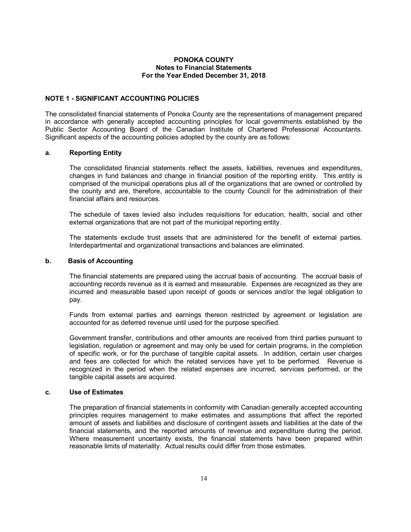### **NOTE 1 - SIGNIFICANT ACCOUNTING POLICIES**

The consolidated financial statements of Ponoka County are the representations of management prepared in accordance with generally accepted accounting principles for local governments established by the Public Sector Accounting Board of the Canadian Institute of Chartered Professional Accountants. Significant aspects of the accounting policies adopted by the county are as follows:

#### **a. Reporting Entity**

The consolidated financial statements reflect the assets, liabilities, revenues and expenditures, changes in fund balances and change in financial position of the reporting entity. This entity is comprised of the municipal operations plus all of the organizations that are owned or controlled by the county and are, therefore, accountable to the county Council for the administration of their financial affairs and resources.

The schedule of taxes levied also includes requisitions for education, health, social and other external organizations that are not part of the municipal reporting entity.

The statements exclude trust assets that are administered for the benefit of external parties. Interdepartmental and organizational transactions and balances are eliminated.

### **b. Basis of Accounting**

The financial statements are prepared using the accrual basis of accounting. The accrual basis of accounting records revenue as it is earned and measurable. Expenses are recognized as they are incurred and measurable based upon receipt of goods or services and/or the legal obligation to pay.

Funds from external parties and earnings thereon restricted by agreement or legislation are accounted for as deferred revenue until used for the purpose specified.

Government transfer, contributions and other amounts are received from third parties pursuant to legislation, regulation or agreement and may only be used for certain programs, in the completion of specific work, or for the purchase of tangible capital assets. In addition, certain user charges and fees are collected for which the related services have yet to be performed. Revenue is recognized in the period when the related expenses are incurred, services performed, or the tangible capital assets are acquired.

### **c. Use of Estimates**

The preparation of financial statements in conformity with Canadian generally accepted accounting principles requires management to make estimates and assumptions that affect the reported amount of assets and liabilities and disclosure of contingent assets and liabilities at the date of the financial statements, and the reported amounts of revenue and expenditure during the period. Where measurement uncertainty exists, the financial statements have been prepared within reasonable limits of materiality. Actual results could differ from those estimates.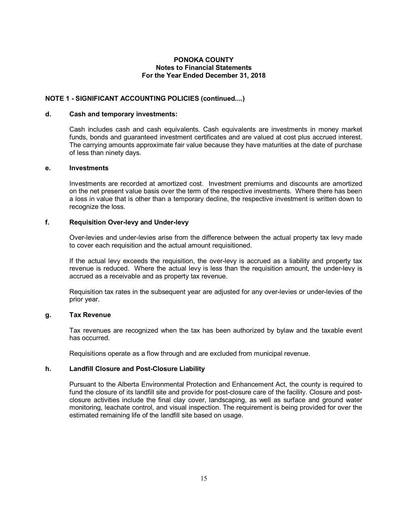# **NOTE 1 - SIGNIFICANT ACCOUNTING POLICIES (continued....)**

#### **d. Cash and temporary investments:**

Cash includes cash and cash equivalents. Cash equivalents are investments in money market funds, bonds and guaranteed investment certificates and are valued at cost plus accrued interest. The carrying amounts approximate fair value because they have maturities at the date of purchase of less than ninety days.

### **e. Investments**

Investments are recorded at amortized cost. Investment premiums and discounts are amortized on the net present value basis over the term of the respective investments. Where there has been a loss in value that is other than a temporary decline, the respective investment is written down to recognize the loss.

### **f. Requisition Over-levy and Under-levy**

Over-levies and under-levies arise from the difference between the actual property tax levy made to cover each requisition and the actual amount requisitioned.

If the actual levy exceeds the requisition, the over-levy is accrued as a liability and property tax revenue is reduced. Where the actual levy is less than the requisition amount, the under-levy is accrued as a receivable and as property tax revenue.

Requisition tax rates in the subsequent year are adjusted for any over-levies or under-levies of the prior year.

# **g. Tax Revenue**

Tax revenues are recognized when the tax has been authorized by bylaw and the taxable event has occurred.

Requisitions operate as a flow through and are excluded from municipal revenue.

# **h. Landfill Closure and Post-Closure Liability**

Pursuant to the Alberta Environmental Protection and Enhancement Act, the county is required to fund the closure of its landfill site and provide for post-closure care of the facility. Closure and postclosure activities include the final clay cover, landscaping, as well as surface and ground water monitoring, leachate control, and visual inspection. The requirement is being provided for over the estimated remaining life of the landfill site based on usage.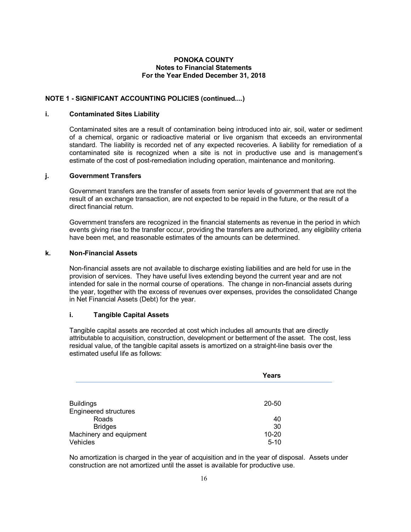# **NOTE 1 - SIGNIFICANT ACCOUNTING POLICIES (continued....)**

### **i. Contaminated Sites Liability**

Contaminated sites are a result of contamination being introduced into air, soil, water or sediment of a chemical, organic or radioactive material or live organism that exceeds an environmental standard. The liability is recorded net of any expected recoveries. A liability for remediation of a contaminated site is recognized when a site is not in productive use and is management's estimate of the cost of post-remediation including operation, maintenance and monitoring.

# **j. Government Transfers**

Government transfers are the transfer of assets from senior levels of government that are not the result of an exchange transaction, are not expected to be repaid in the future, or the result of a direct financial return.

Government transfers are recognized in the financial statements as revenue in the period in which events giving rise to the transfer occur, providing the transfers are authorized, any eligibility criteria have been met, and reasonable estimates of the amounts can be determined.

### **k. Non-Financial Assets**

Non-financial assets are not available to discharge existing liabilities and are held for use in the provision of services. They have useful lives extending beyond the current year and are not intended for sale in the normal course of operations. The change in non-financial assets during the year, together with the excess of revenues over expenses, provides the consolidated Change in Net Financial Assets (Debt) for the year.

# **i. Tangible Capital Assets**

Tangible capital assets are recorded at cost which includes all amounts that are directly attributable to acquisition, construction, development or betterment of the asset. The cost, less residual value, of the tangible capital assets is amortized on a straight-line basis over the estimated useful life as follows:

|                              | Years     |  |
|------------------------------|-----------|--|
|                              |           |  |
| <b>Buildings</b>             | 20-50     |  |
| <b>Engineered structures</b> |           |  |
| Roads                        | 40        |  |
| <b>Bridges</b>               | 30        |  |
| Machinery and equipment      | $10 - 20$ |  |
| Vehicles                     | $5 - 10$  |  |

No amortization is charged in the year of acquisition and in the year of disposal. Assets under construction are not amortized until the asset is available for productive use.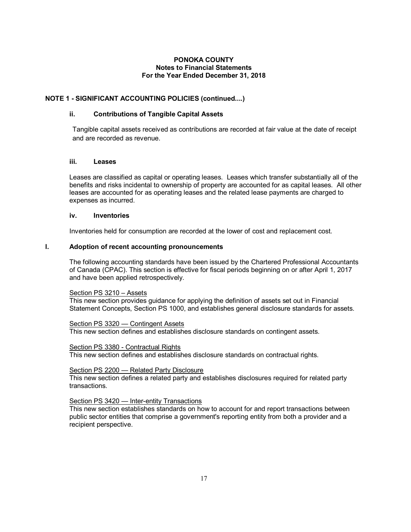# **NOTE 1 - SIGNIFICANT ACCOUNTING POLICIES (continued....)**

### **ii. Contributions of Tangible Capital Assets**

Tangible capital assets received as contributions are recorded at fair value at the date of receipt and are recorded as revenue.

#### **iii. Leases**

Leases are classified as capital or operating leases. Leases which transfer substantially all of the benefits and risks incidental to ownership of property are accounted for as capital leases. All other leases are accounted for as operating leases and the related lease payments are charged to expenses as incurred.

### **iv. Inventories**

Inventories held for consumption are recorded at the lower of cost and replacement cost.

### **l. Adoption of recent accounting pronouncements**

The following accounting standards have been issued by the Chartered Professional Accountants of Canada (CPAC). This section is effective for fiscal periods beginning on or after April 1, 2017 and have been applied retrospectively.

#### Section PS 3210 – Assets

This new section provides guidance for applying the definition of assets set out in Financial Statement Concepts, Section PS 1000, and establishes general disclosure standards for assets.

#### Section PS 3320 — Contingent Assets

This new section defines and establishes disclosure standards on contingent assets.

### Section PS 3380 - Contractual Rights

This new section defines and establishes disclosure standards on contractual rights.

#### Section PS 2200 — Related Party Disclosure

This new section defines a related party and establishes disclosures required for related party transactions.

#### Section PS 3420 - Inter-entity Transactions

This new section establishes standards on how to account for and report transactions between public sector entities that comprise a government's reporting entity from both a provider and a recipient perspective.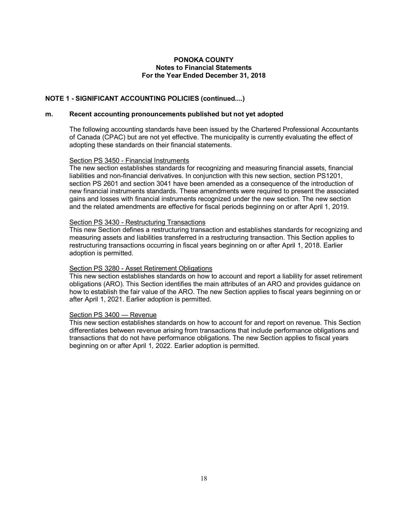# **NOTE 1 - SIGNIFICANT ACCOUNTING POLICIES (continued....)**

#### **m. Recent accounting pronouncements published but not yet adopted**

The following accounting standards have been issued by the Chartered Professional Accountants of Canada (CPAC) but are not yet effective. The municipality is currently evaluating the effect of adopting these standards on their financial statements.

#### Section PS 3450 - Financial Instruments

The new section establishes standards for recognizing and measuring financial assets, financial liabilities and non-financial derivatives. In conjunction with this new section, section PS1201, section PS 2601 and section 3041 have been amended as a consequence of the introduction of new financial instruments standards. These amendments were required to present the associated gains and losses with financial instruments recognized under the new section. The new section and the related amendments are effective for fiscal periods beginning on or after April 1, 2019.

#### Section PS 3430 - Restructuring Transactions

This new Section defines a restructuring transaction and establishes standards for recognizing and measuring assets and liabilities transferred in a restructuring transaction. This Section applies to restructuring transactions occurring in fiscal years beginning on or after April 1, 2018. Earlier adoption is permitted.

#### Section PS 3280 - Asset Retirement Obligations

This new section establishes standards on how to account and report a liability for asset retirement obligations (ARO). This Section identifies the main attributes of an ARO and provides guidance on how to establish the fair value of the ARO. The new Section applies to fiscal years beginning on or after April 1, 2021. Earlier adoption is permitted.

#### Section PS 3400 — Revenue

This new section establishes standards on how to account for and report on revenue. This Section differentiates between revenue arising from transactions that include performance obligations and transactions that do not have performance obligations. The new Section applies to fiscal years beginning on or after April 1, 2022. Earlier adoption is permitted.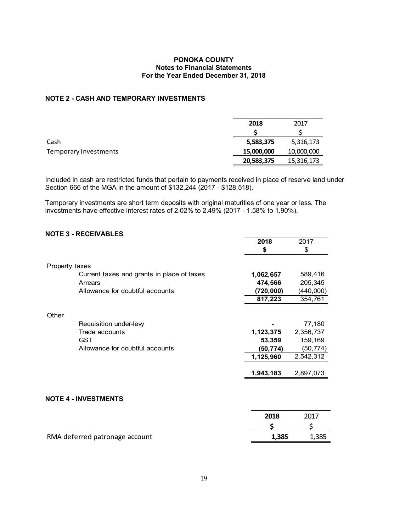# **NOTE 2 - CASH AND TEMPORARY INVESTMENTS**

|                       | 2018       | 2017       |
|-----------------------|------------|------------|
|                       |            |            |
| Cash                  | 5,583,375  | 5,316,173  |
| Temporary investments | 15,000,000 | 10,000,000 |
|                       | 20,583,375 | 15,316,173 |

Included in cash are restricted funds that pertain to payments received in place of reserve land under Section 666 of the MGA in the amount of \$132,244 (2017 - \$128,518).

Temporary investments are short term deposits with original maturities of one year or less. The investments have effective interest rates of 2.02% to 2.49% (2017 - 1.58% to 1.90%).

# **NOTE 3 - RECEIVABLES**

|                |                                            | 2018      | 2017      |
|----------------|--------------------------------------------|-----------|-----------|
|                |                                            | \$        | \$        |
| Property taxes |                                            |           |           |
|                | Current taxes and grants in place of taxes | 1,062,657 | 589,416   |
|                | Arrears                                    | 474,566   | 205,345   |
|                | Allowance for doubtful accounts            | (720,000) | (440,000) |
|                |                                            | 817,223   | 354,761   |
| Other          |                                            |           |           |
|                | Requisition under-levy                     |           | 77,180    |
|                | Trade accounts                             | 1,123,375 | 2,356,737 |
|                | <b>GST</b>                                 | 53,359    | 159,169   |
|                | Allowance for doubtful accounts            | (50,774)  | (50, 774) |
|                |                                            | 1,125,960 | 2,542,312 |
|                |                                            | 1,943,183 | 2,897,073 |
|                |                                            |           |           |
|                | <b>NOTE 4 - INVESTMENTS</b>                |           |           |
|                |                                            | 2018      | 2017      |

| RMA deferred patronage account | 1,385 | 1,385 |
|--------------------------------|-------|-------|
|--------------------------------|-------|-------|

**\$** \$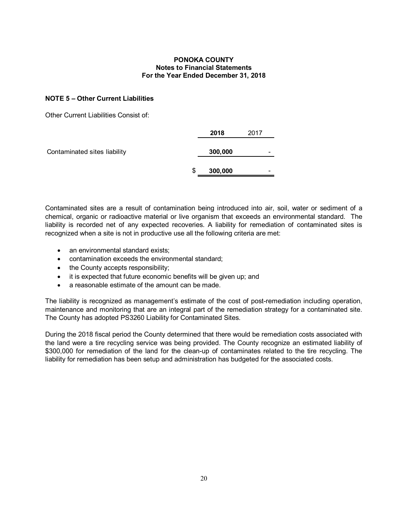# **NOTE 5 – Other Current Liabilities**

Other Current Liabilities Consist of:

|                              | 2018          | 2017                     |
|------------------------------|---------------|--------------------------|
| Contaminated sites liability | 300,000       | $\overline{\phantom{a}}$ |
|                              | \$<br>300,000 | -                        |

Contaminated sites are a result of contamination being introduced into air, soil, water or sediment of a chemical, organic or radioactive material or live organism that exceeds an environmental standard. The liability is recorded net of any expected recoveries. A liability for remediation of contaminated sites is recognized when a site is not in productive use all the following criteria are met:

- an environmental standard exists:
- · contamination exceeds the environmental standard;
- the County accepts responsibility;
- it is expected that future economic benefits will be given up; and
- a reasonable estimate of the amount can be made.

The liability is recognized as management's estimate of the cost of post-remediation including operation, maintenance and monitoring that are an integral part of the remediation strategy for a contaminated site. The County has adopted PS3260 Liability for Contaminated Sites.

During the 2018 fiscal period the County determined that there would be remediation costs associated with the land were a tire recycling service was being provided. The County recognize an estimated liability of \$300,000 for remediation of the land for the clean-up of contaminates related to the tire recycling. The liability for remediation has been setup and administration has budgeted for the associated costs.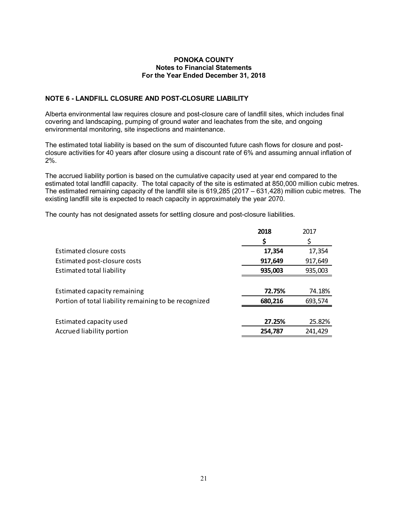# **NOTE 6 - LANDFILL CLOSURE AND POST-CLOSURE LIABILITY**

Alberta environmental law requires closure and post-closure care of landfill sites, which includes final covering and landscaping, pumping of ground water and leachates from the site, and ongoing environmental monitoring, site inspections and maintenance.

The estimated total liability is based on the sum of discounted future cash flows for closure and postclosure activities for 40 years after closure using a discount rate of 6% and assuming annual inflation of 2%.

The accrued liability portion is based on the cumulative capacity used at year end compared to the estimated total landfill capacity. The total capacity of the site is estimated at 850,000 million cubic metres. The estimated remaining capacity of the landfill site is 619,285 (2017 – 631,428) million cubic metres. The existing landfill site is expected to reach capacity in approximately the year 2070.

The county has not designated assets for settling closure and post-closure liabilities.

|                                                       | 2018    | 2017    |
|-------------------------------------------------------|---------|---------|
|                                                       | \$      | \$      |
| Estimated closure costs                               | 17,354  | 17,354  |
| Estimated post-closure costs                          | 917,649 | 917,649 |
| Estimated total liability                             | 935,003 | 935,003 |
|                                                       |         |         |
| Estimated capacity remaining                          | 72.75%  | 74.18%  |
| Portion of total liability remaining to be recognized | 680,216 | 693,574 |
|                                                       |         |         |
| Estimated capacity used                               | 27.25%  | 25.82%  |
| Accrued liability portion                             | 254,787 | 241.429 |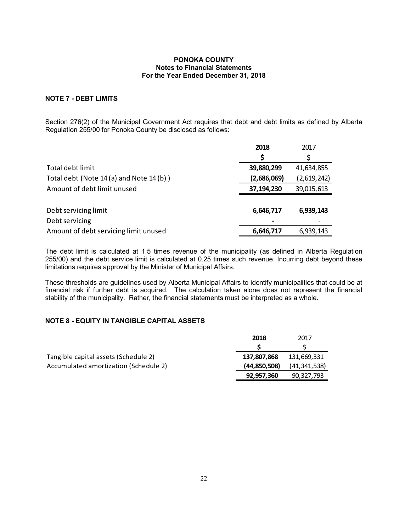# **NOTE 7 - DEBT LIMITS**

Section 276(2) of the Municipal Government Act requires that debt and debt limits as defined by Alberta Regulation 255/00 for Ponoka County be disclosed as follows:

|                                          | 2018        | 2017        |
|------------------------------------------|-------------|-------------|
|                                          | \$          | \$          |
| Total debt limit                         | 39,880,299  | 41,634,855  |
| Total debt (Note 14 (a) and Note 14 (b)) | (2,686,069) | (2,619,242) |
| Amount of debt limit unused              | 37,194,230  | 39,015,613  |
|                                          |             |             |
| Debt servicing limit                     | 6,646,717   | 6,939,143   |
| Debt servicing                           |             |             |
| Amount of debt servicing limit unused    | 6,646,717   | 6,939,143   |

The debt limit is calculated at 1.5 times revenue of the municipality (as defined in Alberta Regulation 255/00) and the debt service limit is calculated at 0.25 times such revenue. Incurring debt beyond these limitations requires approval by the Minister of Municipal Affairs.

These thresholds are guidelines used by Alberta Municipal Affairs to identify municipalities that could be at financial risk if further debt is acquired. The calculation taken alone does not represent the financial stability of the municipality. Rather, the financial statements must be interpreted as a whole.

# **NOTE 8 - EQUITY IN TANGIBLE CAPITAL ASSETS**

|                                       | 2018           | 2017           |
|---------------------------------------|----------------|----------------|
|                                       |                |                |
| Tangible capital assets (Schedule 2)  | 137.807.868    | 131.669.331    |
| Accumulated amortization (Schedule 2) | (44, 850, 508) | (41, 341, 538) |
|                                       | 92,957,360     | 90,327,793     |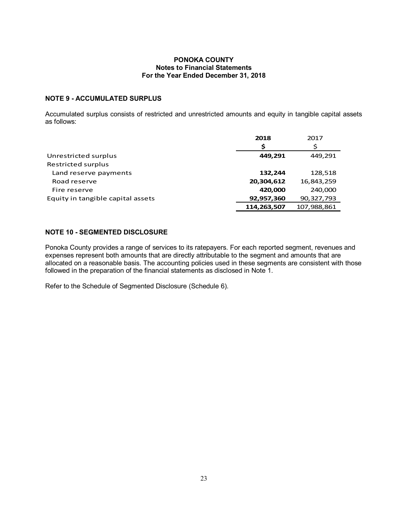# **NOTE 9 - ACCUMULATED SURPLUS**

Accumulated surplus consists of restricted and unrestricted amounts and equity in tangible capital assets as follows:

|                                   | 2018        | 2017        |
|-----------------------------------|-------------|-------------|
|                                   | Ś           | Ś           |
| Unrestricted surplus              | 449.291     | 449,291     |
| Restricted surplus                |             |             |
| Land reserve payments             | 132,244     | 128,518     |
| Road reserve                      | 20,304,612  | 16,843,259  |
| Fire reserve                      | 420,000     | 240,000     |
| Equity in tangible capital assets | 92,957,360  | 90,327,793  |
|                                   | 114,263,507 | 107,988,861 |

# **NOTE 10 - SEGMENTED DISCLOSURE**

Ponoka County provides a range of services to its ratepayers. For each reported segment, revenues and expenses represent both amounts that are directly attributable to the segment and amounts that are allocated on a reasonable basis. The accounting policies used in these segments are consistent with those followed in the preparation of the financial statements as disclosed in Note 1.

Refer to the Schedule of Segmented Disclosure (Schedule 6).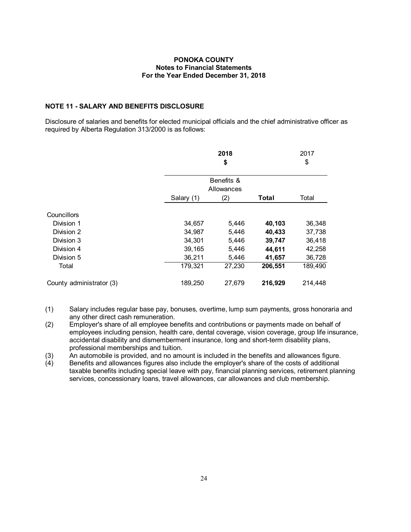# **NOTE 11 - SALARY AND BENEFITS DISCLOSURE**

Disclosure of salaries and benefits for elected municipal officials and the chief administrative officer as required by Alberta Regulation 313/2000 is as follows:

|                          | 2018<br>\$               |        | 2017<br>\$ |         |
|--------------------------|--------------------------|--------|------------|---------|
|                          | Benefits &<br>Allowances |        |            |         |
|                          | Salary (1)               | (2)    | Total      | Total   |
| Councillors              |                          |        |            |         |
| Division 1               | 34,657                   | 5,446  | 40,103     | 36,348  |
| Division 2               | 34,987                   | 5,446  | 40,433     | 37,738  |
| Division 3               | 34,301                   | 5,446  | 39,747     | 36,418  |
| Division 4               | 39,165                   | 5,446  | 44,611     | 42,258  |
| Division 5               | 36,211                   | 5,446  | 41,657     | 36,728  |
| Total                    | 179,321                  | 27,230 | 206,551    | 189,490 |
| County administrator (3) | 189,250                  | 27,679 | 216,929    | 214,448 |

- (1) Salary includes regular base pay, bonuses, overtime, lump sum payments, gross honoraria and any other direct cash remuneration.
- (2) Employer's share of all employee benefits and contributions or payments made on behalf of employees including pension, health care, dental coverage, vision coverage, group life insurance, accidental disability and dismemberment insurance, long and short-term disability plans, professional memberships and tuition.
- (3) An automobile is provided, and no amount is included in the benefits and allowances figure.
- (4) Benefits and allowances figures also include the employer's share of the costs of additional taxable benefits including special leave with pay, financial planning services, retirement planning services, concessionary loans, travel allowances, car allowances and club membership.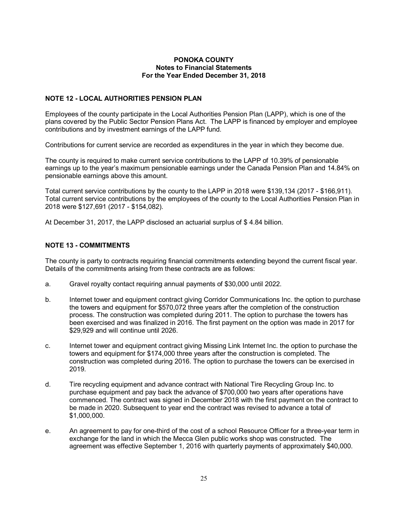# **NOTE 12 - LOCAL AUTHORITIES PENSION PLAN**

Employees of the county participate in the Local Authorities Pension Plan (LAPP), which is one of the plans covered by the Public Sector Pension Plans Act. The LAPP is financed by employer and employee contributions and by investment earnings of the LAPP fund.

Contributions for current service are recorded as expenditures in the year in which they become due.

The county is required to make current service contributions to the LAPP of 10.39% of pensionable earnings up to the year's maximum pensionable earnings under the Canada Pension Plan and 14.84% on pensionable earnings above this amount.

Total current service contributions by the county to the LAPP in 2018 were \$139,134 (2017 - \$166,911). Total current service contributions by the employees of the county to the Local Authorities Pension Plan in 2018 were \$127,691 (2017 - \$154,082).

At December 31, 2017, the LAPP disclosed an actuarial surplus of \$ 4.84 billion.

# **NOTE 13 - COMMITMENTS**

The county is party to contracts requiring financial commitments extending beyond the current fiscal year. Details of the commitments arising from these contracts are as follows:

- a. Gravel royalty contact requiring annual payments of \$30,000 until 2022.
- b. Internet tower and equipment contract giving Corridor Communications Inc. the option to purchase the towers and equipment for \$570,072 three years after the completion of the construction process. The construction was completed during 2011. The option to purchase the towers has been exercised and was finalized in 2016. The first payment on the option was made in 2017 for \$29,929 and will continue until 2026.
- c. Internet tower and equipment contract giving Missing Link Internet Inc. the option to purchase the towers and equipment for \$174,000 three years after the construction is completed. The construction was completed during 2016. The option to purchase the towers can be exercised in 2019.
- d. Tire recycling equipment and advance contract with National Tire Recycling Group Inc. to purchase equipment and pay back the advance of \$700,000 two years after operations have commenced. The contract was signed in December 2018 with the first payment on the contract to be made in 2020. Subsequent to year end the contract was revised to advance a total of \$1,000,000.
- e. An agreement to pay for one-third of the cost of a school Resource Officer for a three-year term in exchange for the land in which the Mecca Glen public works shop was constructed. The agreement was effective September 1, 2016 with quarterly payments of approximately \$40,000.